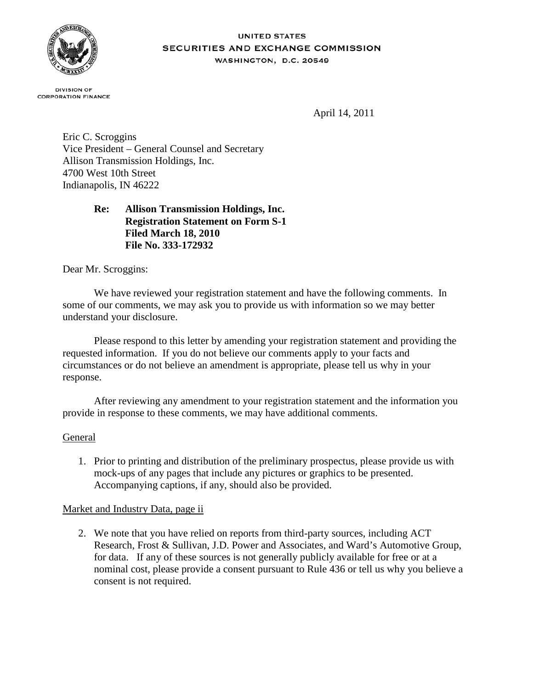

#### **UNITED STATES** SECURITIES AND EXCHANGE COMMISSION WASHINGTON, D.C. 20549

**DIVISION OF CORPORATION FINANCE** 

April 14, 2011

Eric C. Scroggins Vice President – General Counsel and Secretary Allison Transmission Holdings, Inc. 4700 West 10th Street Indianapolis, IN 46222

# **Re: Allison Transmission Holdings, Inc. Registration Statement on Form S-1 Filed March 18, 2010 File No. 333-172932**

Dear Mr. Scroggins:

We have reviewed your registration statement and have the following comments. In some of our comments, we may ask you to provide us with information so we may better understand your disclosure.

Please respond to this letter by amending your registration statement and providing the requested information. If you do not believe our comments apply to your facts and circumstances or do not believe an amendment is appropriate, please tell us why in your response.

After reviewing any amendment to your registration statement and the information you provide in response to these comments, we may have additional comments.

# General

1. Prior to printing and distribution of the preliminary prospectus, please provide us with mock-ups of any pages that include any pictures or graphics to be presented. Accompanying captions, if any, should also be provided.

# Market and Industry Data, page ii

2. We note that you have relied on reports from third-party sources, including ACT Research, Frost & Sullivan, J.D. Power and Associates, and Ward's Automotive Group, for data. If any of these sources is not generally publicly available for free or at a nominal cost, please provide a consent pursuant to Rule 436 or tell us why you believe a consent is not required.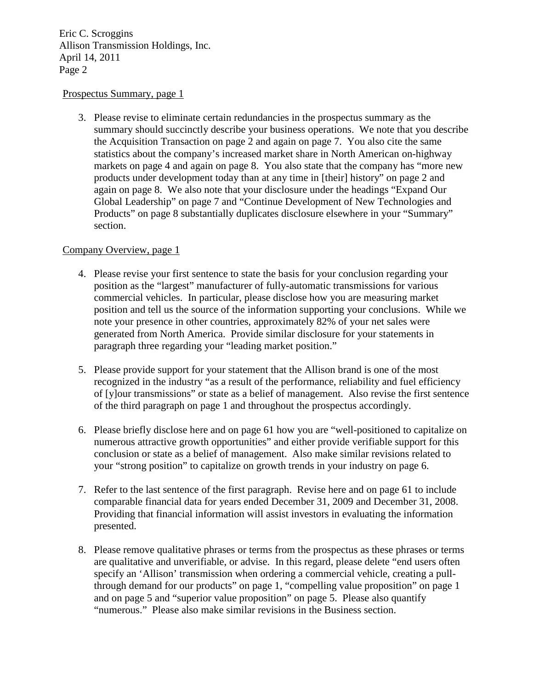#### Prospectus Summary, page 1

3. Please revise to eliminate certain redundancies in the prospectus summary as the summary should succinctly describe your business operations. We note that you describe the Acquisition Transaction on page 2 and again on page 7. You also cite the same statistics about the company's increased market share in North American on-highway markets on page 4 and again on page 8. You also state that the company has "more new products under development today than at any time in [their] history" on page 2 and again on page 8. We also note that your disclosure under the headings "Expand Our Global Leadership" on page 7 and "Continue Development of New Technologies and Products" on page 8 substantially duplicates disclosure elsewhere in your "Summary" section.

### Company Overview, page 1

- 4. Please revise your first sentence to state the basis for your conclusion regarding your position as the "largest" manufacturer of fully-automatic transmissions for various commercial vehicles. In particular, please disclose how you are measuring market position and tell us the source of the information supporting your conclusions. While we note your presence in other countries, approximately 82% of your net sales were generated from North America. Provide similar disclosure for your statements in paragraph three regarding your "leading market position."
- 5. Please provide support for your statement that the Allison brand is one of the most recognized in the industry "as a result of the performance, reliability and fuel efficiency of [y]our transmissions" or state as a belief of management. Also revise the first sentence of the third paragraph on page 1 and throughout the prospectus accordingly.
- 6. Please briefly disclose here and on page 61 how you are "well-positioned to capitalize on numerous attractive growth opportunities" and either provide verifiable support for this conclusion or state as a belief of management. Also make similar revisions related to your "strong position" to capitalize on growth trends in your industry on page 6.
- 7. Refer to the last sentence of the first paragraph. Revise here and on page 61 to include comparable financial data for years ended December 31, 2009 and December 31, 2008. Providing that financial information will assist investors in evaluating the information presented.
- 8. Please remove qualitative phrases or terms from the prospectus as these phrases or terms are qualitative and unverifiable, or advise. In this regard, please delete "end users often specify an 'Allison' transmission when ordering a commercial vehicle, creating a pullthrough demand for our products" on page 1, "compelling value proposition" on page 1 and on page 5 and "superior value proposition" on page 5. Please also quantify "numerous." Please also make similar revisions in the Business section.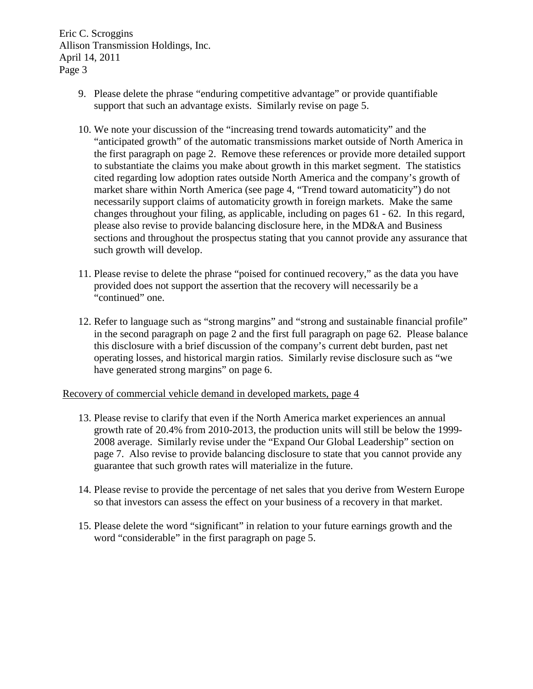- 9. Please delete the phrase "enduring competitive advantage" or provide quantifiable support that such an advantage exists. Similarly revise on page 5.
- 10. We note your discussion of the "increasing trend towards automaticity" and the "anticipated growth" of the automatic transmissions market outside of North America in the first paragraph on page 2. Remove these references or provide more detailed support to substantiate the claims you make about growth in this market segment. The statistics cited regarding low adoption rates outside North America and the company's growth of market share within North America (see page 4, "Trend toward automaticity") do not necessarily support claims of automaticity growth in foreign markets. Make the same changes throughout your filing, as applicable, including on pages 61 - 62. In this regard, please also revise to provide balancing disclosure here, in the MD&A and Business sections and throughout the prospectus stating that you cannot provide any assurance that such growth will develop.
- 11. Please revise to delete the phrase "poised for continued recovery," as the data you have provided does not support the assertion that the recovery will necessarily be a "continued" one.
- 12. Refer to language such as "strong margins" and "strong and sustainable financial profile" in the second paragraph on page 2 and the first full paragraph on page 62. Please balance this disclosure with a brief discussion of the company's current debt burden, past net operating losses, and historical margin ratios. Similarly revise disclosure such as "we have generated strong margins" on page 6.

### Recovery of commercial vehicle demand in developed markets, page 4

- 13. Please revise to clarify that even if the North America market experiences an annual growth rate of 20.4% from 2010-2013, the production units will still be below the 1999- 2008 average. Similarly revise under the "Expand Our Global Leadership" section on page 7. Also revise to provide balancing disclosure to state that you cannot provide any guarantee that such growth rates will materialize in the future.
- 14. Please revise to provide the percentage of net sales that you derive from Western Europe so that investors can assess the effect on your business of a recovery in that market.
- 15. Please delete the word "significant" in relation to your future earnings growth and the word "considerable" in the first paragraph on page 5.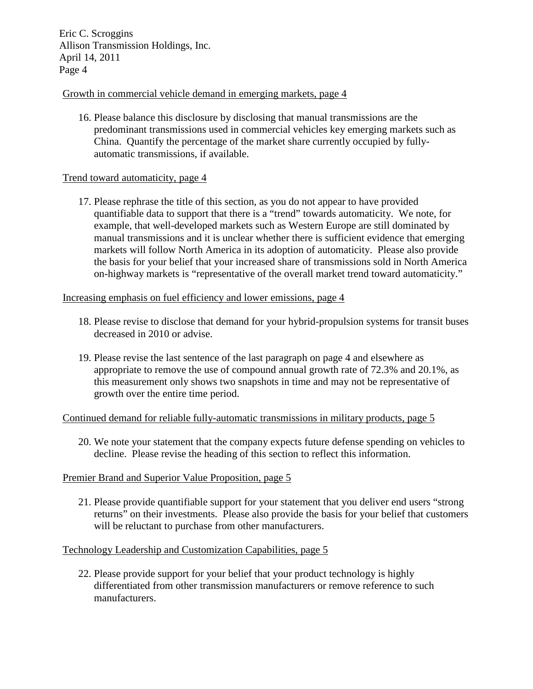# Growth in commercial vehicle demand in emerging markets, page 4

16. Please balance this disclosure by disclosing that manual transmissions are the predominant transmissions used in commercial vehicles key emerging markets such as China. Quantify the percentage of the market share currently occupied by fullyautomatic transmissions, if available.

### Trend toward automaticity, page 4

17. Please rephrase the title of this section, as you do not appear to have provided quantifiable data to support that there is a "trend" towards automaticity. We note, for example, that well-developed markets such as Western Europe are still dominated by manual transmissions and it is unclear whether there is sufficient evidence that emerging markets will follow North America in its adoption of automaticity. Please also provide the basis for your belief that your increased share of transmissions sold in North America on-highway markets is "representative of the overall market trend toward automaticity."

#### Increasing emphasis on fuel efficiency and lower emissions, page 4

- 18. Please revise to disclose that demand for your hybrid-propulsion systems for transit buses decreased in 2010 or advise.
- 19. Please revise the last sentence of the last paragraph on page 4 and elsewhere as appropriate to remove the use of compound annual growth rate of 72.3% and 20.1%, as this measurement only shows two snapshots in time and may not be representative of growth over the entire time period.

### Continued demand for reliable fully-automatic transmissions in military products, page 5

20. We note your statement that the company expects future defense spending on vehicles to decline. Please revise the heading of this section to reflect this information.

### Premier Brand and Superior Value Proposition, page 5

21. Please provide quantifiable support for your statement that you deliver end users "strong returns" on their investments. Please also provide the basis for your belief that customers will be reluctant to purchase from other manufacturers.

### Technology Leadership and Customization Capabilities, page 5

22. Please provide support for your belief that your product technology is highly differentiated from other transmission manufacturers or remove reference to such manufacturers.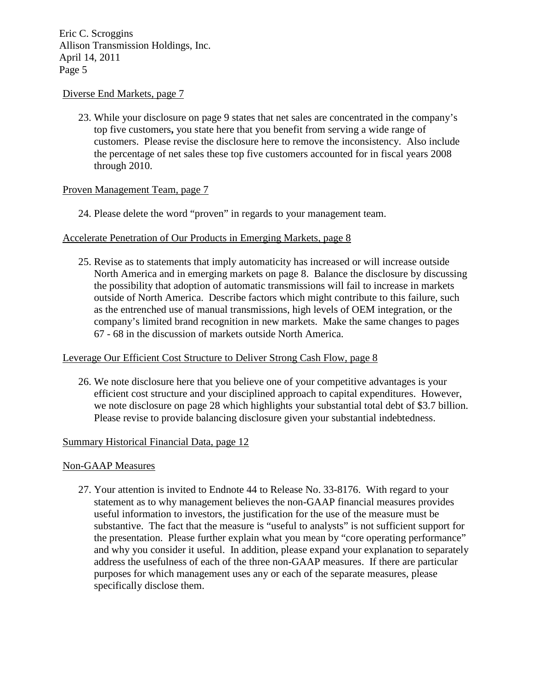#### Diverse End Markets, page 7

23. While your disclosure on page 9 states that net sales are concentrated in the company's top five customers**,** you state here that you benefit from serving a wide range of customers. Please revise the disclosure here to remove the inconsistency. Also include the percentage of net sales these top five customers accounted for in fiscal years 2008 through 2010.

#### Proven Management Team, page 7

24. Please delete the word "proven" in regards to your management team.

#### Accelerate Penetration of Our Products in Emerging Markets, page 8

25. Revise as to statements that imply automaticity has increased or will increase outside North America and in emerging markets on page 8. Balance the disclosure by discussing the possibility that adoption of automatic transmissions will fail to increase in markets outside of North America. Describe factors which might contribute to this failure, such as the entrenched use of manual transmissions, high levels of OEM integration, or the company's limited brand recognition in new markets. Make the same changes to pages 67 - 68 in the discussion of markets outside North America.

#### Leverage Our Efficient Cost Structure to Deliver Strong Cash Flow, page 8

26. We note disclosure here that you believe one of your competitive advantages is your efficient cost structure and your disciplined approach to capital expenditures. However, we note disclosure on page 28 which highlights your substantial total debt of \$3.7 billion. Please revise to provide balancing disclosure given your substantial indebtedness.

#### Summary Historical Financial Data, page 12

#### Non-GAAP Measures

27. Your attention is invited to Endnote 44 to Release No. 33-8176. With regard to your statement as to why management believes the non-GAAP financial measures provides useful information to investors, the justification for the use of the measure must be substantive. The fact that the measure is "useful to analysts" is not sufficient support for the presentation. Please further explain what you mean by "core operating performance" and why you consider it useful. In addition, please expand your explanation to separately address the usefulness of each of the three non-GAAP measures. If there are particular purposes for which management uses any or each of the separate measures, please specifically disclose them.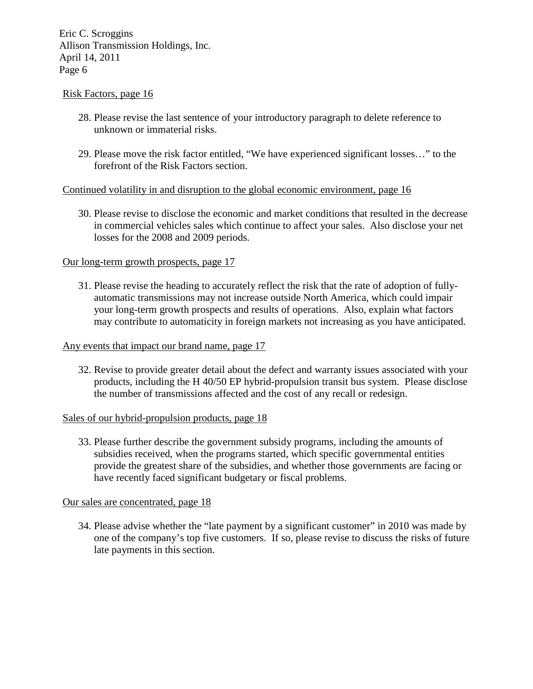#### Risk Factors, page 16

- 28. Please revise the last sentence of your introductory paragraph to delete reference to unknown or immaterial risks.
- 29. Please move the risk factor entitled, "We have experienced significant losses…" to the forefront of the Risk Factors section.

### Continued volatility in and disruption to the global economic environment, page 16

30. Please revise to disclose the economic and market conditions that resulted in the decrease in commercial vehicles sales which continue to affect your sales. Also disclose your net losses for the 2008 and 2009 periods.

### Our long-term growth prospects, page 17

31. Please revise the heading to accurately reflect the risk that the rate of adoption of fullyautomatic transmissions may not increase outside North America, which could impair your long-term growth prospects and results of operations. Also, explain what factors may contribute to automaticity in foreign markets not increasing as you have anticipated.

#### Any events that impact our brand name, page 17

32. Revise to provide greater detail about the defect and warranty issues associated with your products, including the H 40/50 EP hybrid-propulsion transit bus system. Please disclose the number of transmissions affected and the cost of any recall or redesign.

### Sales of our hybrid-propulsion products, page 18

33. Please further describe the government subsidy programs, including the amounts of subsidies received, when the programs started, which specific governmental entities provide the greatest share of the subsidies, and whether those governments are facing or have recently faced significant budgetary or fiscal problems.

### Our sales are concentrated, page 18

34. Please advise whether the "late payment by a significant customer" in 2010 was made by one of the company's top five customers. If so, please revise to discuss the risks of future late payments in this section.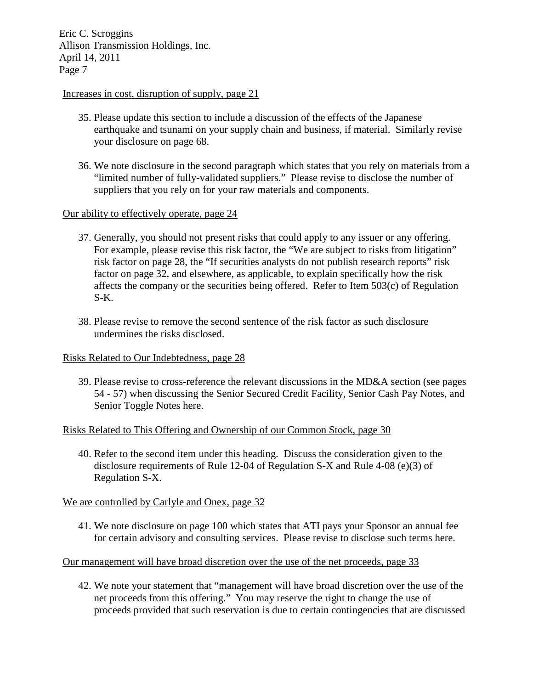#### Increases in cost, disruption of supply, page 21

- 35. Please update this section to include a discussion of the effects of the Japanese earthquake and tsunami on your supply chain and business, if material. Similarly revise your disclosure on page 68.
- 36. We note disclosure in the second paragraph which states that you rely on materials from a "limited number of fully-validated suppliers." Please revise to disclose the number of suppliers that you rely on for your raw materials and components.

### Our ability to effectively operate, page 24

- 37. Generally, you should not present risks that could apply to any issuer or any offering. For example, please revise this risk factor, the "We are subject to risks from litigation" risk factor on page 28, the "If securities analysts do not publish research reports" risk factor on page 32, and elsewhere, as applicable, to explain specifically how the risk affects the company or the securities being offered. Refer to Item 503(c) of Regulation S-K.
- 38. Please revise to remove the second sentence of the risk factor as such disclosure undermines the risks disclosed.

### Risks Related to Our Indebtedness, page 28

39. Please revise to cross-reference the relevant discussions in the MD&A section (see pages 54 - 57) when discussing the Senior Secured Credit Facility, Senior Cash Pay Notes, and Senior Toggle Notes here.

### Risks Related to This Offering and Ownership of our Common Stock, page 30

40. Refer to the second item under this heading. Discuss the consideration given to the disclosure requirements of Rule 12-04 of Regulation S-X and Rule 4-08 (e)(3) of Regulation S-X.

### We are controlled by Carlyle and Onex, page 32

41. We note disclosure on page 100 which states that ATI pays your Sponsor an annual fee for certain advisory and consulting services. Please revise to disclose such terms here.

# Our management will have broad discretion over the use of the net proceeds, page 33

42. We note your statement that "management will have broad discretion over the use of the net proceeds from this offering." You may reserve the right to change the use of proceeds provided that such reservation is due to certain contingencies that are discussed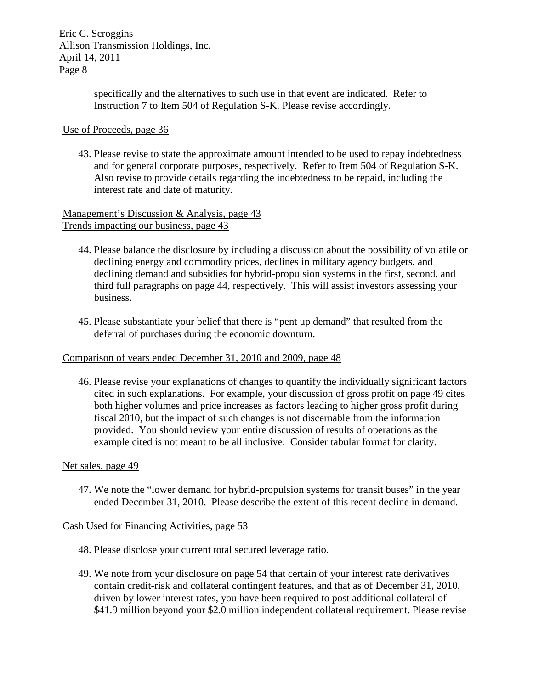> specifically and the alternatives to such use in that event are indicated. Refer to Instruction 7 to Item 504 of Regulation S-K. Please revise accordingly.

### Use of Proceeds, page 36

43. Please revise to state the approximate amount intended to be used to repay indebtedness and for general corporate purposes, respectively. Refer to Item 504 of Regulation S-K. Also revise to provide details regarding the indebtedness to be repaid, including the interest rate and date of maturity.

Management's Discussion & Analysis, page 43 Trends impacting our business, page 43

- 44. Please balance the disclosure by including a discussion about the possibility of volatile or declining energy and commodity prices, declines in military agency budgets, and declining demand and subsidies for hybrid-propulsion systems in the first, second, and third full paragraphs on page 44, respectively. This will assist investors assessing your business.
- 45. Please substantiate your belief that there is "pent up demand" that resulted from the deferral of purchases during the economic downturn.

### Comparison of years ended December 31, 2010 and 2009, page 48

46. Please revise your explanations of changes to quantify the individually significant factors cited in such explanations. For example, your discussion of gross profit on page 49 cites both higher volumes and price increases as factors leading to higher gross profit during fiscal 2010, but the impact of such changes is not discernable from the information provided. You should review your entire discussion of results of operations as the example cited is not meant to be all inclusive. Consider tabular format for clarity.

#### Net sales, page 49

47. We note the "lower demand for hybrid-propulsion systems for transit buses" in the year ended December 31, 2010. Please describe the extent of this recent decline in demand.

### Cash Used for Financing Activities, page 53

- 48. Please disclose your current total secured leverage ratio.
- 49. We note from your disclosure on page 54 that certain of your interest rate derivatives contain credit-risk and collateral contingent features, and that as of December 31, 2010, driven by lower interest rates, you have been required to post additional collateral of \$41.9 million beyond your \$2.0 million independent collateral requirement. Please revise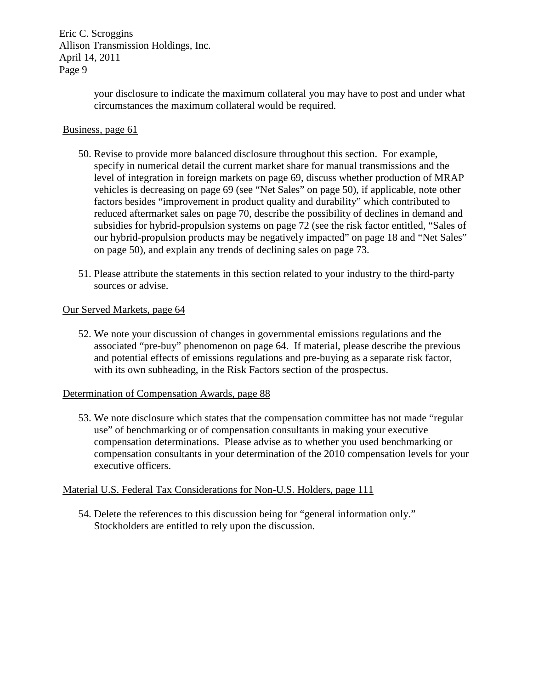> your disclosure to indicate the maximum collateral you may have to post and under what circumstances the maximum collateral would be required.

#### Business, page 61

- 50. Revise to provide more balanced disclosure throughout this section. For example, specify in numerical detail the current market share for manual transmissions and the level of integration in foreign markets on page 69, discuss whether production of MRAP vehicles is decreasing on page 69 (see "Net Sales" on page 50), if applicable, note other factors besides "improvement in product quality and durability" which contributed to reduced aftermarket sales on page 70, describe the possibility of declines in demand and subsidies for hybrid-propulsion systems on page 72 (see the risk factor entitled, "Sales of our hybrid-propulsion products may be negatively impacted" on page 18 and "Net Sales" on page 50), and explain any trends of declining sales on page 73.
- 51. Please attribute the statements in this section related to your industry to the third-party sources or advise.

#### Our Served Markets, page 64

52. We note your discussion of changes in governmental emissions regulations and the associated "pre-buy" phenomenon on page 64. If material, please describe the previous and potential effects of emissions regulations and pre-buying as a separate risk factor, with its own subheading, in the Risk Factors section of the prospectus.

#### Determination of Compensation Awards, page 88

53. We note disclosure which states that the compensation committee has not made "regular use" of benchmarking or of compensation consultants in making your executive compensation determinations. Please advise as to whether you used benchmarking or compensation consultants in your determination of the 2010 compensation levels for your executive officers.

#### Material U.S. Federal Tax Considerations for Non-U.S. Holders, page 111

54. Delete the references to this discussion being for "general information only." Stockholders are entitled to rely upon the discussion.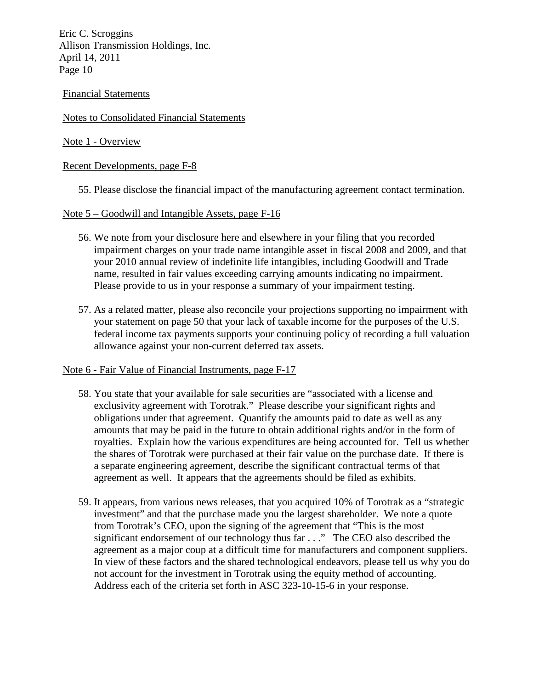# Financial Statements

# Notes to Consolidated Financial Statements

# Note 1 - Overview

# Recent Developments, page F-8

55. Please disclose the financial impact of the manufacturing agreement contact termination.

# Note 5 – Goodwill and Intangible Assets, page F-16

- 56. We note from your disclosure here and elsewhere in your filing that you recorded impairment charges on your trade name intangible asset in fiscal 2008 and 2009, and that your 2010 annual review of indefinite life intangibles, including Goodwill and Trade name, resulted in fair values exceeding carrying amounts indicating no impairment. Please provide to us in your response a summary of your impairment testing.
- 57. As a related matter, please also reconcile your projections supporting no impairment with your statement on page 50 that your lack of taxable income for the purposes of the U.S. federal income tax payments supports your continuing policy of recording a full valuation allowance against your non-current deferred tax assets.

### Note 6 - Fair Value of Financial Instruments, page F-17

- 58. You state that your available for sale securities are "associated with a license and exclusivity agreement with Torotrak." Please describe your significant rights and obligations under that agreement. Quantify the amounts paid to date as well as any amounts that may be paid in the future to obtain additional rights and/or in the form of royalties. Explain how the various expenditures are being accounted for. Tell us whether the shares of Torotrak were purchased at their fair value on the purchase date. If there is a separate engineering agreement, describe the significant contractual terms of that agreement as well. It appears that the agreements should be filed as exhibits.
- 59. It appears, from various news releases, that you acquired 10% of Torotrak as a "strategic investment" and that the purchase made you the largest shareholder. We note a quote from Torotrak's CEO, upon the signing of the agreement that "This is the most significant endorsement of our technology thus far . . ." The CEO also described the agreement as a major coup at a difficult time for manufacturers and component suppliers. In view of these factors and the shared technological endeavors, please tell us why you do not account for the investment in Torotrak using the equity method of accounting. Address each of the criteria set forth in ASC 323-10-15-6 in your response.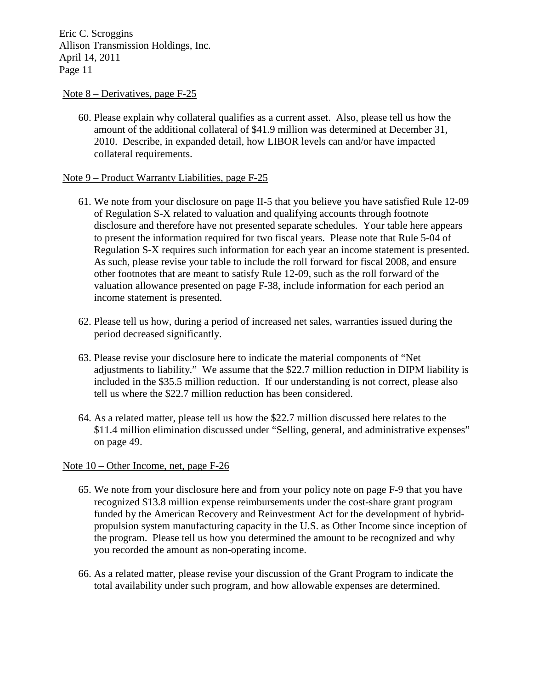#### Note 8 – Derivatives, page F-25

60. Please explain why collateral qualifies as a current asset. Also, please tell us how the amount of the additional collateral of \$41.9 million was determined at December 31, 2010. Describe, in expanded detail, how LIBOR levels can and/or have impacted collateral requirements.

### Note 9 – Product Warranty Liabilities, page F-25

- 61. We note from your disclosure on page II-5 that you believe you have satisfied Rule 12-09 of Regulation S-X related to valuation and qualifying accounts through footnote disclosure and therefore have not presented separate schedules. Your table here appears to present the information required for two fiscal years. Please note that Rule 5-04 of Regulation S-X requires such information for each year an income statement is presented. As such, please revise your table to include the roll forward for fiscal 2008, and ensure other footnotes that are meant to satisfy Rule 12-09, such as the roll forward of the valuation allowance presented on page F-38, include information for each period an income statement is presented.
- 62. Please tell us how, during a period of increased net sales, warranties issued during the period decreased significantly.
- 63. Please revise your disclosure here to indicate the material components of "Net adjustments to liability." We assume that the \$22.7 million reduction in DIPM liability is included in the \$35.5 million reduction. If our understanding is not correct, please also tell us where the \$22.7 million reduction has been considered.
- 64. As a related matter, please tell us how the \$22.7 million discussed here relates to the \$11.4 million elimination discussed under "Selling, general, and administrative expenses" on page 49.

### Note 10 – Other Income, net, page F-26

- 65. We note from your disclosure here and from your policy note on page F-9 that you have recognized \$13.8 million expense reimbursements under the cost-share grant program funded by the American Recovery and Reinvestment Act for the development of hybridpropulsion system manufacturing capacity in the U.S. as Other Income since inception of the program. Please tell us how you determined the amount to be recognized and why you recorded the amount as non-operating income.
- 66. As a related matter, please revise your discussion of the Grant Program to indicate the total availability under such program, and how allowable expenses are determined.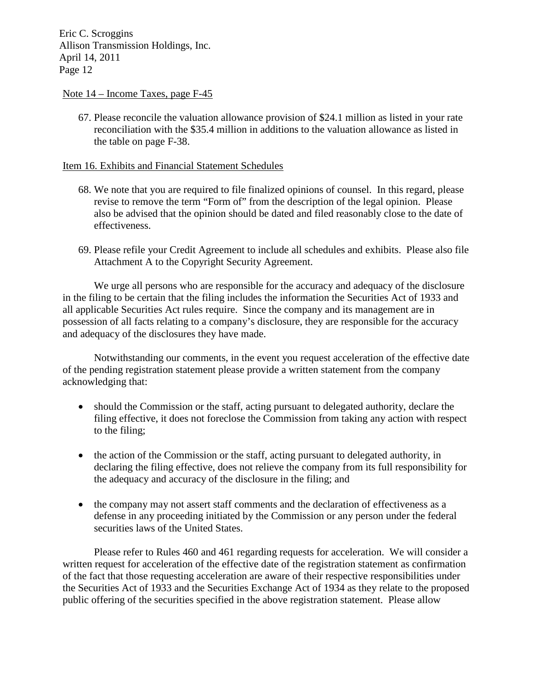#### Note 14 – Income Taxes, page F-45

67. Please reconcile the valuation allowance provision of \$24.1 million as listed in your rate reconciliation with the \$35.4 million in additions to the valuation allowance as listed in the table on page F-38.

#### Item 16. Exhibits and Financial Statement Schedules

- 68. We note that you are required to file finalized opinions of counsel. In this regard, please revise to remove the term "Form of" from the description of the legal opinion. Please also be advised that the opinion should be dated and filed reasonably close to the date of effectiveness.
- 69. Please refile your Credit Agreement to include all schedules and exhibits. Please also file Attachment A to the Copyright Security Agreement.

We urge all persons who are responsible for the accuracy and adequacy of the disclosure in the filing to be certain that the filing includes the information the Securities Act of 1933 and all applicable Securities Act rules require. Since the company and its management are in possession of all facts relating to a company's disclosure, they are responsible for the accuracy and adequacy of the disclosures they have made.

Notwithstanding our comments, in the event you request acceleration of the effective date of the pending registration statement please provide a written statement from the company acknowledging that:

- should the Commission or the staff, acting pursuant to delegated authority, declare the filing effective, it does not foreclose the Commission from taking any action with respect to the filing;
- the action of the Commission or the staff, acting pursuant to delegated authority, in declaring the filing effective, does not relieve the company from its full responsibility for the adequacy and accuracy of the disclosure in the filing; and
- the company may not assert staff comments and the declaration of effectiveness as a defense in any proceeding initiated by the Commission or any person under the federal securities laws of the United States.

Please refer to Rules 460 and 461 regarding requests for acceleration. We will consider a written request for acceleration of the effective date of the registration statement as confirmation of the fact that those requesting acceleration are aware of their respective responsibilities under the Securities Act of 1933 and the Securities Exchange Act of 1934 as they relate to the proposed public offering of the securities specified in the above registration statement. Please allow